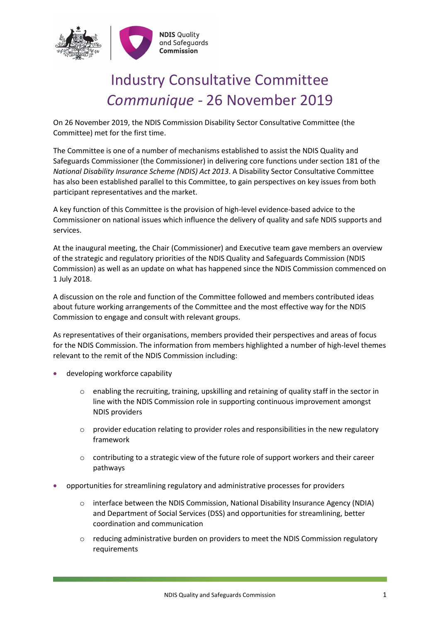

## Industry Consultative Committee *Communique -* 26 November 2019

On 26 November 2019, the NDIS Commission Disability Sector Consultative Committee (the Committee) met for the first time.

The Committee is one of a number of mechanisms established to assist the NDIS Quality and Safeguards Commissioner (the Commissioner) in delivering core functions under section 181 of the *National Disability Insurance Scheme (NDIS) Act 2013*. A Disability Sector Consultative Committee has also been established parallel to this Committee, to gain perspectives on key issues from both participant representatives and the market.

A key function of this Committee is the provision of high-level evidence-based advice to the Commissioner on national issues which influence the delivery of quality and safe NDIS supports and services.

At the inaugural meeting, the Chair (Commissioner) and Executive team gave members an overview of the strategic and regulatory priorities of the NDIS Quality and Safeguards Commission (NDIS Commission) as well as an update on what has happened since the NDIS Commission commenced on 1 July 2018.

A discussion on the role and function of the Committee followed and members contributed ideas about future working arrangements of the Committee and the most effective way for the NDIS Commission to engage and consult with relevant groups.

As representatives of their organisations, members provided their perspectives and areas of focus for the NDIS Commission. The information from members highlighted a number of high-level themes relevant to the remit of the NDIS Commission including:

- developing workforce capability
	- $\circ$  enabling the recruiting, training, upskilling and retaining of quality staff in the sector in line with the NDIS Commission role in supporting continuous improvement amongst NDIS providers
	- $\circ$  provider education relating to provider roles and responsibilities in the new regulatory framework
	- $\circ$  contributing to a strategic view of the future role of support workers and their career pathways
- opportunities for streamlining regulatory and administrative processes for providers
	- o interface between the NDIS Commission, National Disability Insurance Agency (NDIA) and Department of Social Services (DSS) and opportunities for streamlining, better coordination and communication
	- o reducing administrative burden on providers to meet the NDIS Commission regulatory requirements